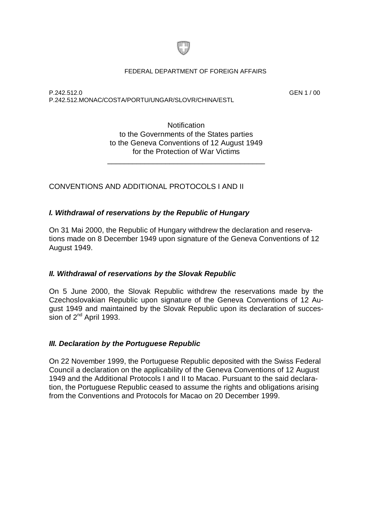

#### FEDERAL DEPARTMENT OF FOREIGN AFFAIRS

P.242.512.0 GEN 1 / 00 P.242.512.MONAC/COSTA/PORTU/UNGAR/SLOVR/CHINA/ESTL

**Notification** to the Governments of the States parties to the Geneva Conventions of 12 August 1949 for the Protection of War Victims

\_\_\_\_\_\_\_\_\_\_\_\_\_\_\_\_\_\_\_\_\_\_\_\_\_\_\_\_\_\_\_\_\_\_\_\_\_\_

CONVENTIONS AND ADDITIONAL PROTOCOLS I AND II

### *I. Withdrawal of reservations by the Republic of Hungary*

On 31 Mai 2000, the Republic of Hungary withdrew the declaration and reservations made on 8 December 1949 upon signature of the Geneva Conventions of 12 August 1949.

### *II. Withdrawal of reservations by the Slovak Republic*

On 5 June 2000, the Slovak Republic withdrew the reservations made by the Czechoslovakian Republic upon signature of the Geneva Conventions of 12 August 1949 and maintained by the Slovak Republic upon its declaration of succession of  $2^{nd}$  April 1993.

### *III. Declaration by the Portuguese Republic*

On 22 November 1999, the Portuguese Republic deposited with the Swiss Federal Council a declaration on the applicability of the Geneva Conventions of 12 August 1949 and the Additional Protocols I and II to Macao. Pursuant to the said declaration, the Portuguese Republic ceased to assume the rights and obligations arising from the Conventions and Protocols for Macao on 20 December 1999.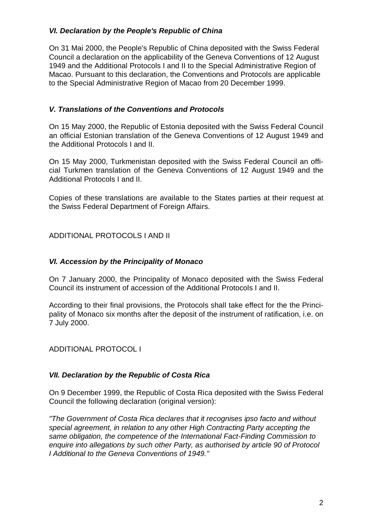# *VI. Declaration by the People's Republic of China*

On 31 Mai 2000, the People's Republic of China deposited with the Swiss Federal Council a declaration on the applicability of the Geneva Conventions of 12 August 1949 and the Additional Protocols I and II to the Special Administrative Region of Macao. Pursuant to this declaration, the Conventions and Protocols are applicable to the Special Administrative Region of Macao from 20 December 1999.

# *V. Translations of the Conventions and Protocols*

On 15 May 2000, the Republic of Estonia deposited with the Swiss Federal Council an official Estonian translation of the Geneva Conventions of 12 August 1949 and the Additional Protocols I and II.

On 15 May 2000, Turkmenistan deposited with the Swiss Federal Council an official Turkmen translation of the Geneva Conventions of 12 August 1949 and the Additional Protocols I and II.

Copies of these translations are available to the States parties at their request at the Swiss Federal Department of Foreign Affairs.

ADDITIONAL PROTOCOLS I AND II

# *VI. Accession by the Principality of Monaco*

On 7 January 2000, the Principality of Monaco deposited with the Swiss Federal Council its instrument of accession of the Additional Protocols I and II.

According to their final provisions, the Protocols shall take effect for the the Principality of Monaco six months after the deposit of the instrument of ratification, i.e. on 7 July 2000.

ADDITIONAL PROTOCOL I

# *VII. Declaration by the Republic of Costa Rica*

On 9 December 1999, the Republic of Costa Rica deposited with the Swiss Federal Council the following declaration (original version):

*"The Government of Costa Rica declares that it recognises ipso facto and without special agreement, in relation to any other High Contracting Party accepting the same obligation, the competence of the International Fact-Finding Commission to enquire into allegations by such other Party, as authorised by article 90 of Protocol I Additional to the Geneva Conventions of 1949."*